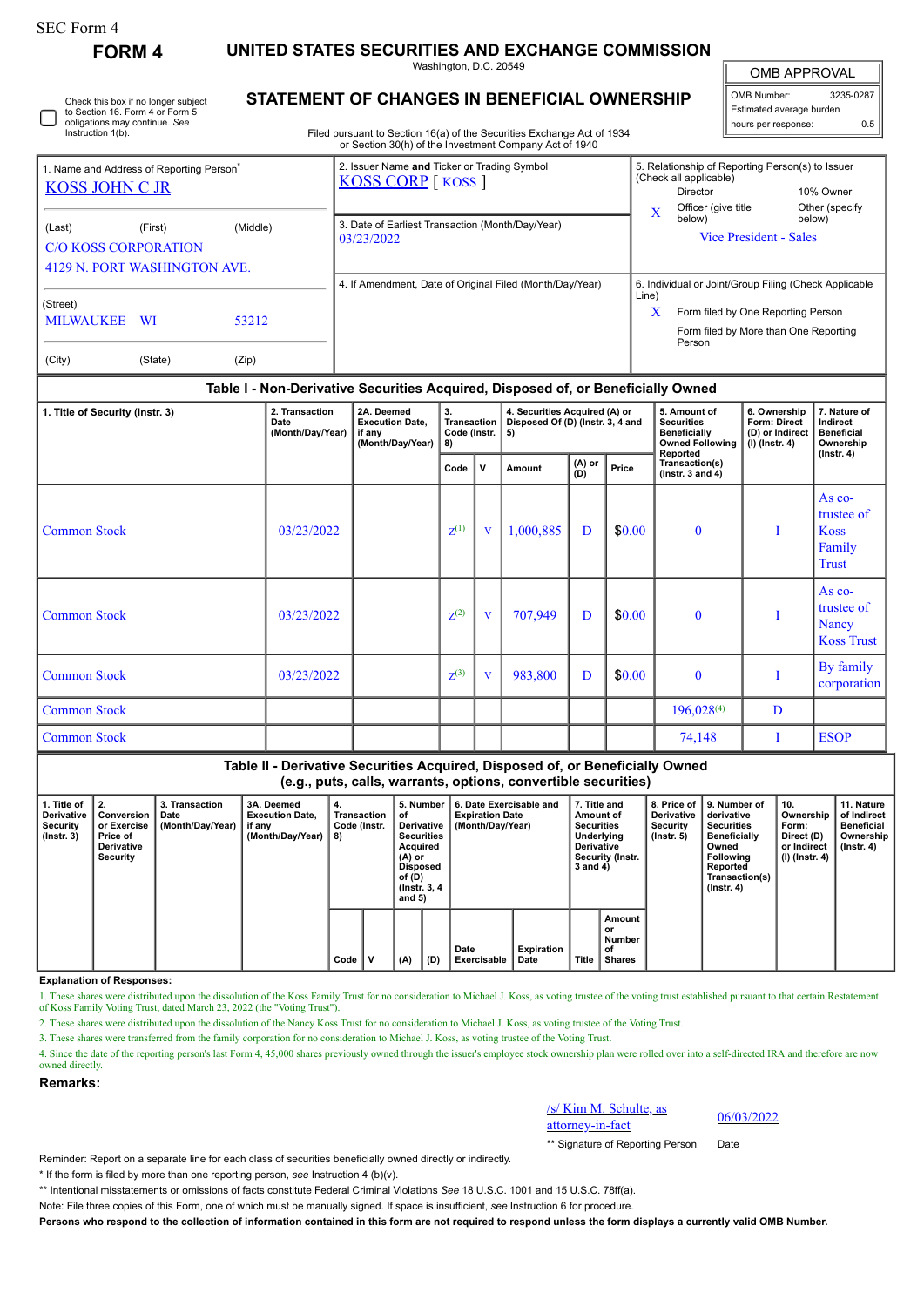| SEC Form 4 |  |
|------------|--|
|------------|--|

Instruction 1(b).

## **FORM 4 UNITED STATES SECURITIES AND EXCHANGE COMMISSION**

Check this box if no longer subject to Section 16. Form 4 or Form 5 obligations may continue. *See*

Washington, D.C. 20549

OMB APPROVAL

| OMB Number:              | 3235-0287 |  |  |  |  |  |  |  |
|--------------------------|-----------|--|--|--|--|--|--|--|
| Estimated average burden |           |  |  |  |  |  |  |  |
| hours per response:      | 0.5       |  |  |  |  |  |  |  |

Filed pursuant to Section 16(a) of the Securities Exchange Act of 1934 or Section 30(h) of the Investment Company Act of 1940

| 1. Name and Address of Reporting Person <sup>®</sup>                                         |         |       | 2. Issuer Name and Ticker or Trading Symbol<br><b>KOSS CORP</b> [ KOSS ] |       | 5. Relationship of Reporting Person(s) to Issuer<br>(Check all applicable) |                          |  |  |  |  |
|----------------------------------------------------------------------------------------------|---------|-------|--------------------------------------------------------------------------|-------|----------------------------------------------------------------------------|--------------------------|--|--|--|--|
| <b>KOSS JOHN C JR</b>                                                                        |         |       |                                                                          |       | Director                                                                   | 10% Owner                |  |  |  |  |
|                                                                                              |         |       |                                                                          | X     | Officer (give title<br>below)                                              | Other (specify<br>below) |  |  |  |  |
| (Middle)<br>(Last)<br>(First)<br><b>C/O KOSS CORPORATION</b><br>4129 N. PORT WASHINGTON AVE. |         |       | 3. Date of Earliest Transaction (Month/Day/Year)<br>03/23/2022           |       | <b>Vice President - Sales</b>                                              |                          |  |  |  |  |
|                                                                                              |         |       |                                                                          |       |                                                                            |                          |  |  |  |  |
| (Street)                                                                                     |         |       | 4. If Amendment, Date of Original Filed (Month/Day/Year)                 | Line) | 6. Individual or Joint/Group Filing (Check Applicable                      |                          |  |  |  |  |
| <b>MILWAUKEE</b>                                                                             | - WI    | 53212 |                                                                          | x     | Form filed by One Reporting Person                                         |                          |  |  |  |  |
|                                                                                              |         |       |                                                                          |       | Form filed by More than One Reporting<br>Person                            |                          |  |  |  |  |
| (City)                                                                                       | (State) | (Zip) |                                                                          |       |                                                                            |                          |  |  |  |  |

## **Table I - Non-Derivative Securities Acquired, Disposed of, or Beneficially Owned**

| 1. Title of Security (Instr. 3) | 2. Transaction<br>Date<br>(Month/Day/Year) | 2A. Deemed<br><b>Execution Date,</b><br>if any<br>(Month/Day/Year) | 3.<br>Transaction  <br>Code (Instr.  <br>8) |              | 4. Securities Acquired (A) or<br>Disposed Of (D) (Instr. 3, 4 and<br>5) |                   |        | 5. Amount of<br><b>Securities</b><br><b>Beneficially</b><br><b>Owned Following</b> | 6. Ownership<br><b>Form: Direct</b><br>(D) or Indirect<br>$(l)$ (lnstr. 4) | 7. Nature of<br>Indirect<br><b>Beneficial</b><br>Ownership |
|---------------------------------|--------------------------------------------|--------------------------------------------------------------------|---------------------------------------------|--------------|-------------------------------------------------------------------------|-------------------|--------|------------------------------------------------------------------------------------|----------------------------------------------------------------------------|------------------------------------------------------------|
|                                 |                                            |                                                                    | Code                                        | $\mathsf{v}$ | Amount                                                                  | $(A)$ or<br>$(B)$ | Price  | Reported<br>Transaction(s)<br>( $lnstr. 3$ and $4$ )                               |                                                                            | $($ Instr. 4 $)$                                           |
| <b>Common Stock</b>             | 03/23/2022                                 |                                                                    | $Z^{(1)}$                                   | V            | 1,000,885                                                               | D                 | \$0.00 | $\bf{0}$                                                                           |                                                                            | As co-<br>trustee of<br><b>Koss</b><br>Family<br>Trust     |
| <b>Common Stock</b>             | 03/23/2022                                 |                                                                    | $Z^{(2)}$                                   | V            | 707,949                                                                 | D                 | \$0.00 | $\bf{0}$                                                                           |                                                                            | As $co-$<br>trustee of<br>Nancy<br><b>Koss Trust</b>       |
| <b>Common Stock</b>             | 03/23/2022                                 |                                                                    | $Z^{(3)}$                                   | V            | 983,800                                                                 | D                 | \$0.00 | $\bf{0}$                                                                           |                                                                            | By family<br>corporation                                   |
| <b>Common Stock</b>             |                                            |                                                                    |                                             |              |                                                                         |                   |        | $196,028^{(4)}$                                                                    | D                                                                          |                                                            |
| <b>Common Stock</b>             |                                            |                                                                    |                                             |              |                                                                         |                   |        | 74,148                                                                             |                                                                            | <b>ESOP</b>                                                |

## **Table II - Derivative Securities Acquired, Disposed of, or Beneficially Owned (e.g., puts, calls, warrants, options, convertible securities)**

| 1. Title of<br><b>Derivative</b><br><b>Security</b><br>$($ lnstr. 3 $)$ | 2.<br>Conversion<br>or Exercise<br>Price of<br><b>Derivative</b><br>Security | 3. Transaction<br>Date<br>(Month/Day/Year) | 3A. Deemed<br><b>Execution Date,</b><br>if any<br>(Month/Day/Year) | 4.<br>Transaction<br>Code (Instr.<br>8) |   | 5. Number<br>οt<br>Derivative<br><b>Securities</b><br>Acquired<br>(A) or<br>Disposed<br>of (D)<br>(Instr. 3, 4)<br>and $5)$ |     | 6. Date Exercisable and<br><b>Expiration Date</b><br>(Month/Day/Year) |                           |       | 7. Title and<br>Amount of<br><b>Securities</b><br>Underlying<br><b>Derivative</b><br>Security (Instr.<br>3 and 4) | 8. Price of<br><b>Derivative</b><br>Security<br>$($ lnstr. 5 $)$ | 9. Number of<br>derivative<br><b>Securities</b><br><b>Beneficially</b><br>Owned<br>Following<br>Reported<br>Transaction(s)<br>$($ lnstr. 4 $)$ | 10.<br>Ownership<br>Form:<br>Direct (D)<br>or Indirect<br>  (I) (Instr. 4) | 11. Nature<br>of Indirect<br><b>Beneficial</b><br>Ownership<br>$($ lnstr. 4 $)$ |
|-------------------------------------------------------------------------|------------------------------------------------------------------------------|--------------------------------------------|--------------------------------------------------------------------|-----------------------------------------|---|-----------------------------------------------------------------------------------------------------------------------------|-----|-----------------------------------------------------------------------|---------------------------|-------|-------------------------------------------------------------------------------------------------------------------|------------------------------------------------------------------|------------------------------------------------------------------------------------------------------------------------------------------------|----------------------------------------------------------------------------|---------------------------------------------------------------------------------|
|                                                                         |                                                                              |                                            |                                                                    | Code                                    | v | (A)                                                                                                                         | (D) | Date<br>Exercisable                                                   | <b>Expiration</b><br>Date | Title | Amount<br>or<br><b>Number</b><br>οf<br>Shares                                                                     |                                                                  |                                                                                                                                                |                                                                            |                                                                                 |

## **Explanation of Responses:**

1. These shares were distributed upon the dissolution of the Koss Family Trust for no consideration to Michael J. Koss, as voting trustee of the voting trust established pursuant to that certain Restatement of Koss Family

2. These shares were distributed upon the dissolution of the Nancy Koss Trust for no consideration to Michael J. Koss, as voting trustee of the Voting Trust.

3. These shares were transferred from the family corporation for no consideration to Michael J. Koss, as voting trustee of the Voting Trust.

4. Since the date of the reporting person's last Form 4, 45,000 shares previously owned through the issuer's employee stock ownership plan were rolled over into a self-directed IRA and therefore are now owned directly.

**Remarks:**

/s/ Kim M. Schulte, as  $\frac{\text{as}}{\text{atot}}$  06/03/2022<br>attorney-in-fact 06/03/2022

\*\* Signature of Reporting Person Date

Reminder: Report on a separate line for each class of securities beneficially owned directly or indirectly.

\* If the form is filed by more than one reporting person, *see* Instruction 4 (b)(v).

\*\* Intentional misstatements or omissions of facts constitute Federal Criminal Violations *See* 18 U.S.C. 1001 and 15 U.S.C. 78ff(a).

Note: File three copies of this Form, one of which must be manually signed. If space is insufficient, *see* Instruction 6 for procedure.

**Persons who respond to the collection of information contained in this form are not required to respond unless the form displays a currently valid OMB Number.**